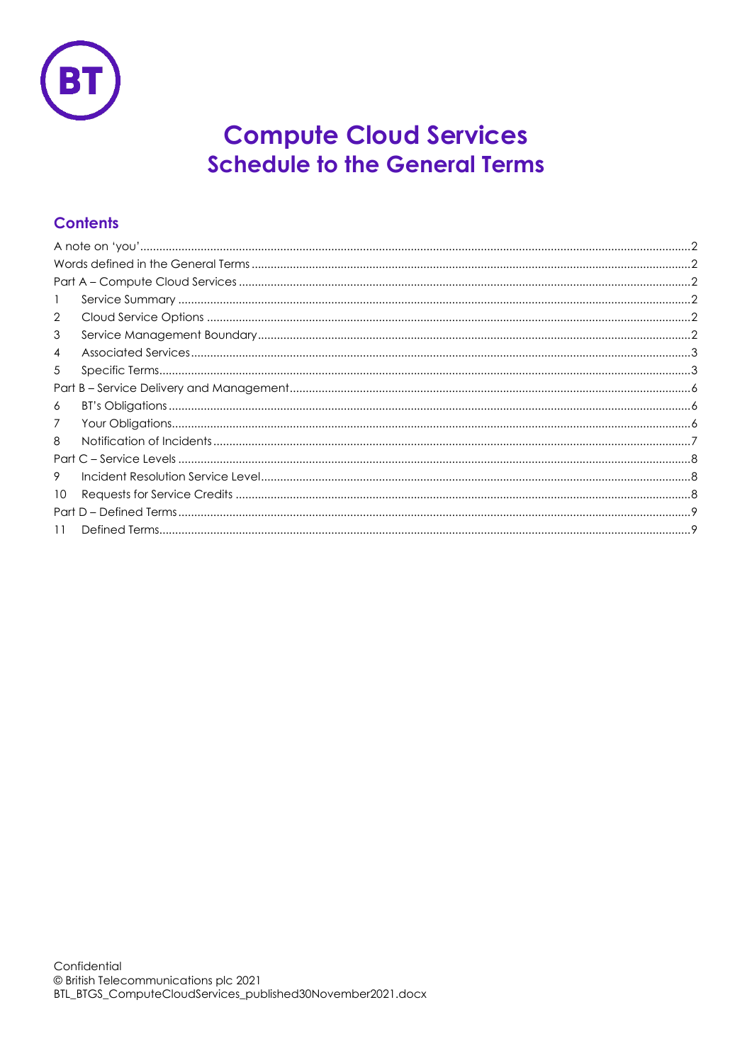

# **Compute Cloud Services Schedule to the General Terms**

## **Contents**

| $\overline{2}$  |  |  |  |
|-----------------|--|--|--|
| 3               |  |  |  |
| 4               |  |  |  |
| 5               |  |  |  |
|                 |  |  |  |
| 6               |  |  |  |
| 7               |  |  |  |
| 8               |  |  |  |
|                 |  |  |  |
| 9               |  |  |  |
| 10 <sup>°</sup> |  |  |  |
|                 |  |  |  |
| 11              |  |  |  |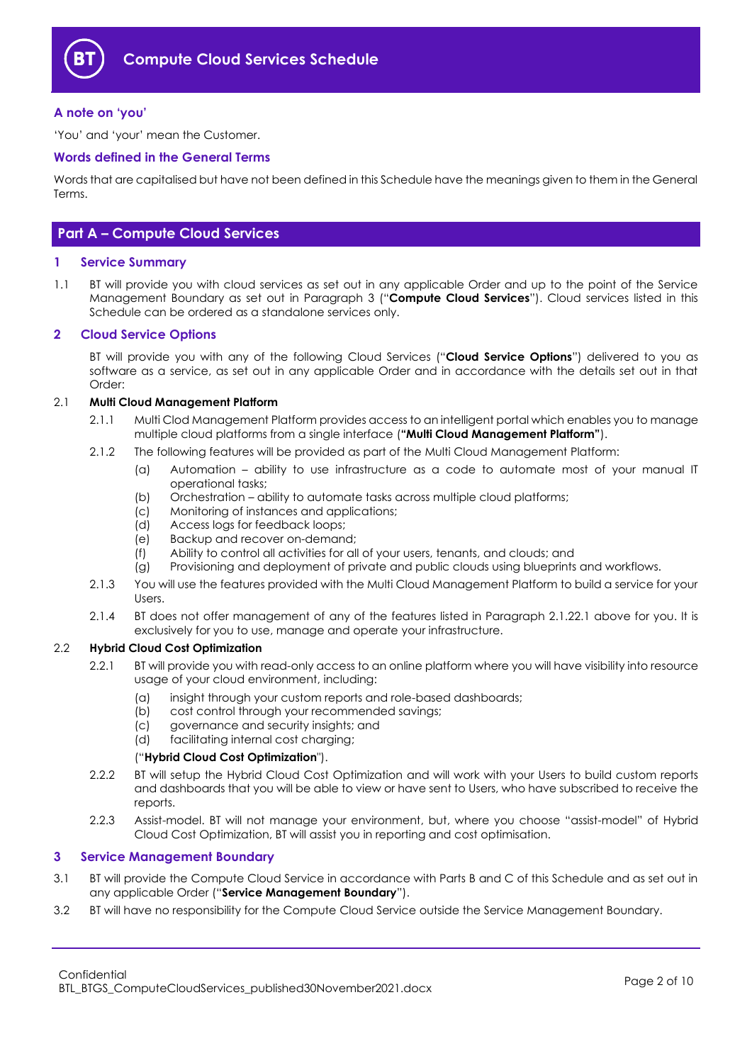

#### <span id="page-1-0"></span>**A note on 'you'**

'You' and 'your' mean the Customer.

#### <span id="page-1-1"></span>**Words defined in the General Terms**

Words that are capitalised but have not been defined in this Schedule have the meanings given to them in the General Terms.

### <span id="page-1-2"></span>**Part A – Compute Cloud Services**

#### <span id="page-1-3"></span>**1 Service Summary**

1.1 BT will provide you with cloud services as set out in any applicable Order and up to the point of the Service Management Boundary as set out in Paragraph [3](#page-1-5) ("**Compute Cloud Services**"). Cloud services listed in this Schedule can be ordered as a standalone services only.

#### <span id="page-1-4"></span>**2 Cloud Service Options**

BT will provide you with any of the following Cloud Services ("**Cloud Service Options**") delivered to you as software as a service, as set out in any applicable Order and in accordance with the details set out in that Order:

#### <span id="page-1-9"></span><span id="page-1-7"></span>2.1 **Multi Cloud Management Platform**

- 2.1.1 Multi Clod Management Platform provides access to an intelligent portal which enables you to manage multiple cloud platforms from a single interface (**"Multi Cloud Management Platform"**).
- <span id="page-1-6"></span>2.1.2 The following features will be provided as part of the Multi Cloud Management Platform:
	- (a) Automation ability to use infrastructure as a code to automate most of your manual IT operational tasks;
	- (b) Orchestration ability to automate tasks across multiple cloud platforms;
	- (c) Monitoring of instances and applications;
	- (d) Access logs for feedback loops;
	- (e) Backup and recover on-demand;
	- (f) Ability to control all activities for all of your users, tenants, and clouds; and
	- (g) Provisioning and deployment of private and public clouds using blueprints and workflows.
- 2.1.3 You will use the features provided with the Multi Cloud Management Platform to build a service for your Users.
- 2.1.4 BT does not offer management of any of the features listed in Paragraph [2.1.2](#page-1-6)[2.1](#page-1-7) above for you. It is exclusively for you to use, manage and operate your infrastructure.

#### <span id="page-1-8"></span>2.2 **Hybrid Cloud Cost Optimization**

- 2.2.1 BT will provide you with read-only access to an online platform where you will have visibility into resource usage of your cloud environment, including:
	- (a) insight through your custom reports and role-based dashboards;
	- (b) cost control through your recommended savings;
	- (c) governance and security insights; and
	- (d) facilitating internal cost charging;

#### ("**Hybrid Cloud Cost Optimization**").

- 2.2.2 BT will setup the Hybrid Cloud Cost Optimization and will work with your Users to build custom reports and dashboards that you will be able to view or have sent to Users, who have subscribed to receive the reports.
- 2.2.3 Assist-model. BT will not manage your environment, but, where you choose "assist-model" of Hybrid Cloud Cost Optimization, BT will assist you in reporting and cost optimisation.

#### <span id="page-1-5"></span>**3 Service Management Boundary**

- 3.1 BT will provide the Compute Cloud Service in accordance with Parts B and C of this Schedule and as set out in any applicable Order ("**Service Management Boundary**").
- 3.2 BT will have no responsibility for the Compute Cloud Service outside the Service Management Boundary.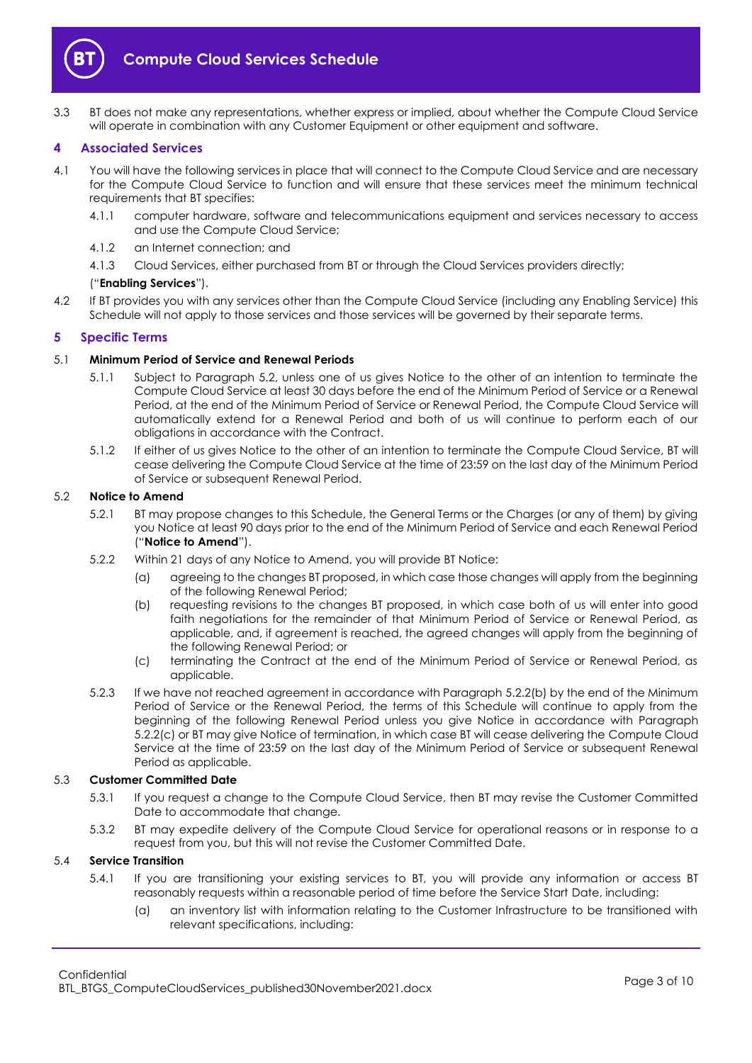

3.3 BT does not make any representations, whether express or implied, about whether the Compute Cloud Service will operate in combination with any Customer Equipment or other equipment and software.

#### <span id="page-2-0"></span>**4 Associated Services**

- <span id="page-2-6"></span>4.1 You will have the following services in place that will connect to the Compute Cloud Service and are necessary for the Compute Cloud Service to function and will ensure that these services meet the minimum technical requirements that BT specifies:
	- 4.1.1 computer hardware, software and telecommunications equipment and services necessary to access and use the Compute Cloud Service;
	- 4.1.2 an Internet connection; and
	- 4.1.3 Cloud Services, either purchased from BT or through the Cloud Services providers directly;

#### ("**Enabling Services**").

4.2 If BT provides you with any services other than the Compute Cloud Service (including any Enabling Service) this Schedule will not apply to those services and those services will be governed by their separate terms.

#### <span id="page-2-1"></span>**5 Specific Terms**

#### 5.1 **Minimum Period of Service and Renewal Periods**

- 5.1.1 Subject to Paragraph [5.2,](#page-2-2) unless one of us gives Notice to the other of an intention to terminate the Compute Cloud Service at least 30 days before the end of the Minimum Period of Service or a Renewal Period, at the end of the Minimum Period of Service or Renewal Period, the Compute Cloud Service will automatically extend for a Renewal Period and both of us will continue to perform each of our obligations in accordance with the Contract.
- 5.1.2 If either of us gives Notice to the other of an intention to terminate the Compute Cloud Service, BT will cease delivering the Compute Cloud Service at the time of 23:59 on the last day of the Minimum Period of Service or subsequent Renewal Period.

#### <span id="page-2-2"></span>5.2 **Notice to Amend**

- 5.2.1 BT may propose changes to this Schedule, the General Terms or the Charges (or any of them) by giving you Notice at least 90 days prior to the end of the Minimum Period of Service and each Renewal Period ("**Notice to Amend**").
- <span id="page-2-3"></span>5.2.2 Within 21 days of any Notice to Amend, you will provide BT Notice:
	- (a) agreeing to the changes BT proposed, in which case those changes will apply from the beginning of the following Renewal Period;
	- (b) requesting revisions to the changes BT proposed, in which case both of us will enter into good faith negotiations for the remainder of that Minimum Period of Service or Renewal Period, as applicable, and, if agreement is reached, the agreed changes will apply from the beginning of the following Renewal Period; or
	- (c) terminating the Contract at the end of the Minimum Period of Service or Renewal Period, as applicable.
- <span id="page-2-4"></span>5.2.3 If we have not reached agreement in accordance with Paragraph [5.2.2\(b\)](#page-2-3) by the end of the Minimum Period of Service or the Renewal Period, the terms of this Schedule will continue to apply from the beginning of the following Renewal Period unless you give Notice in accordance with Paragraph [5.2.2\(c\)](#page-2-4) or BT may give Notice of termination, in which case BT will cease delivering the Compute Cloud Service at the time of 23:59 on the last day of the Minimum Period of Service or subsequent Renewal Period as applicable.

#### 5.3 **Customer Committed Date**

- 5.3.1 If you request a change to the Compute Cloud Service, then BT may revise the Customer Committed Date to accommodate that change.
- 5.3.2 BT may expedite delivery of the Compute Cloud Service for operational reasons or in response to a request from you, but this will not revise the Customer Committed Date.

#### <span id="page-2-5"></span>5.4 **Service Transition**

- 5.4.1 If you are transitioning your existing services to BT, you will provide any information or access BT reasonably requests within a reasonable period of time before the Service Start Date, including:
	- (a) an inventory list with information relating to the Customer Infrastructure to be transitioned with relevant specifications, including: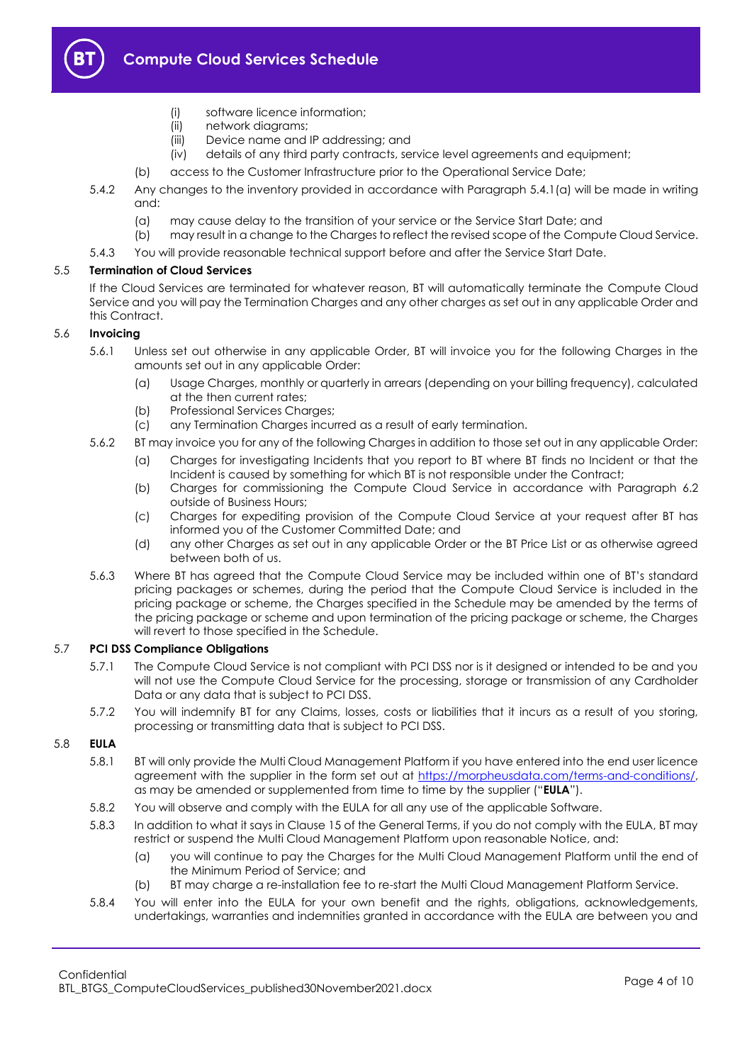

- (i) software licence information;
- (ii) network diagrams;
- (iii) Device name and IP addressing; and
- (iv) details of any third party contracts, service level agreements and equipment;
- (b) access to the Customer Infrastructure prior to the Operational Service Date;
- 5.4.2 Any changes to the inventory provided in accordance with Paragraph [5.4.1\(a\)](#page-2-5) will be made in writing and:
	- (a) may cause delay to the transition of your service or the Service Start Date; and
	- (b) may result in a change to the Charges to reflect the revised scope of the Compute Cloud Service.
- 5.4.3 You will provide reasonable technical support before and after the Service Start Date.

#### 5.5 **Termination of Cloud Services**

If the Cloud Services are terminated for whatever reason, BT will automatically terminate the Compute Cloud Service and you will pay the Termination Charges and any other charges as set out in any applicable Order and this Contract.

#### 5.6 **Invoicing**

- 5.6.1 Unless set out otherwise in any applicable Order, BT will invoice you for the following Charges in the amounts set out in any applicable Order:
	- (a) Usage Charges, monthly or quarterly in arrears (depending on your billing frequency), calculated at the then current rates;
	- (b) Professional Services Charges;
	- (c) any Termination Charges incurred as a result of early termination.
- 5.6.2 BT may invoice you for any of the following Charges in addition to those set out in any applicable Order:
	- (a) Charges for investigating Incidents that you report to BT where BT finds no Incident or that the Incident is caused by something for which BT is not responsible under the Contract;
	- (b) Charges for commissioning the Compute Cloud Service in accordance with Paragraph [6.2](#page-5-3) outside of Business Hours;
	- (c) Charges for expediting provision of the Compute Cloud Service at your request after BT has informed you of the Customer Committed Date; and
	- (d) any other Charges as set out in any applicable Order or the BT Price List or as otherwise agreed between both of us.
- 5.6.3 Where BT has agreed that the Compute Cloud Service may be included within one of BT's standard pricing packages or schemes, during the period that the Compute Cloud Service is included in the pricing package or scheme, the Charges specified in the Schedule may be amended by the terms of the pricing package or scheme and upon termination of the pricing package or scheme, the Charges will revert to those specified in the Schedule.

#### 5.7 **PCI DSS Compliance Obligations**

- 5.7.1 The Compute Cloud Service is not compliant with PCI DSS nor is it designed or intended to be and you will not use the Compute Cloud Service for the processing, storage or transmission of any Cardholder Data or any data that is subject to PCI DSS.
- 5.7.2 You will indemnify BT for any Claims, losses, costs or liabilities that it incurs as a result of you storing, processing or transmitting data that is subject to PCI DSS.

#### <span id="page-3-0"></span>5.8 **EULA**

- 5.8.1 BT will only provide the Multi Cloud Management Platform if you have entered into the end user licence agreement with the supplier in the form set out at [https://morpheusdata.com/terms-and-conditions/,](https://morpheusdata.com/terms-and-conditions/)  as may be amended or supplemented from time to time by the supplier ("**EULA**").
- 5.8.2 You will observe and comply with the EULA for all any use of the applicable Software.
- 5.8.3 In addition to what it says in Clause 15 of the General Terms, if you do not comply with the EULA, BT may restrict or suspend the Multi Cloud Management Platform upon reasonable Notice, and:
	- (a) you will continue to pay the Charges for the Multi Cloud Management Platform until the end of the Minimum Period of Service; and
	- (b) BT may charge a re-installation fee to re-start the Multi Cloud Management Platform Service.
- 5.8.4 You will enter into the EULA for your own benefit and the rights, obligations, acknowledgements, undertakings, warranties and indemnities granted in accordance with the EULA are between you and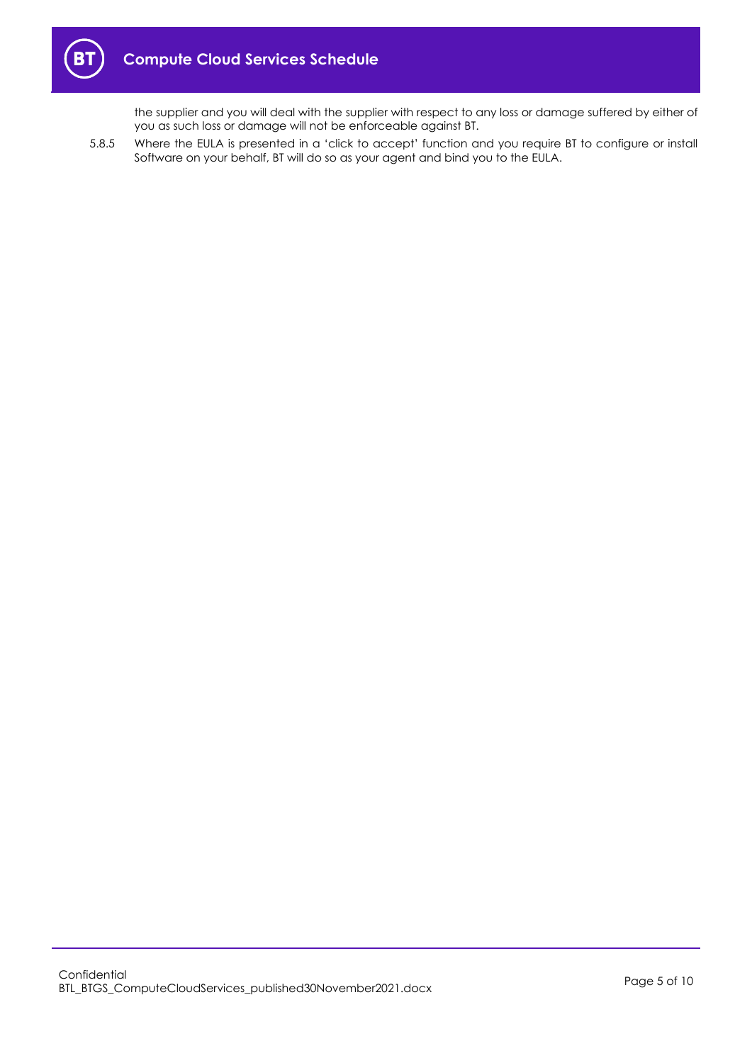

the supplier and you will deal with the supplier with respect to any loss or damage suffered by either of you as such loss or damage will not be enforceable against BT.

5.8.5 Where the EULA is presented in a 'click to accept' function and you require BT to configure or install Software on your behalf, BT will do so as your agent and bind you to the EULA.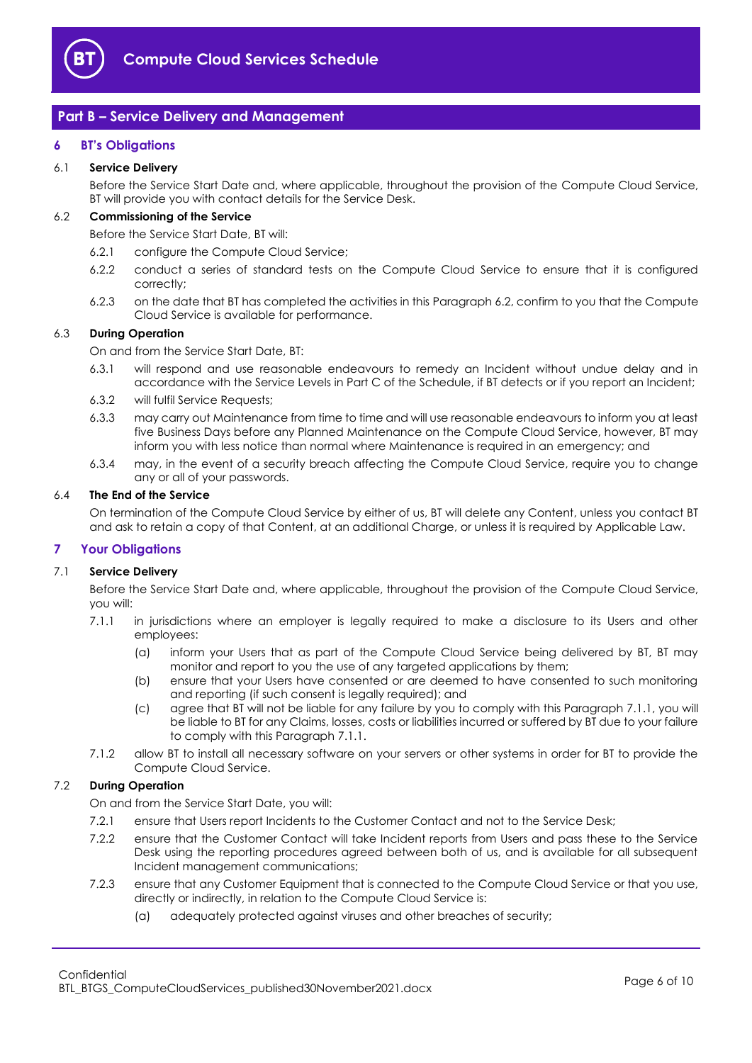

## <span id="page-5-0"></span>**Part B – Service Delivery and Management**

#### <span id="page-5-1"></span>**6 BT's Obligations**

#### 6.1 **Service Delivery**

Before the Service Start Date and, where applicable, throughout the provision of the Compute Cloud Service, BT will provide you with contact details for the Service Desk.

## <span id="page-5-3"></span>6.2 **Commissioning of the Service**

Before the Service Start Date, BT will:

- 6.2.1 configure the Compute Cloud Service;
- 6.2.2 conduct a series of standard tests on the Compute Cloud Service to ensure that it is configured correctly;
- 6.2.3 on the date that BT has completed the activities in this Paragraph [6.2,](#page-5-3) confirm to you that the Compute Cloud Service is available for performance.

#### 6.3 **During Operation**

On and from the Service Start Date, BT:

- 6.3.1 will respond and use reasonable endeavours to remedy an Incident without undue delay and in accordance with the Service Levels in Part C of the Schedule, if BT detects or if you report an Incident;
- 6.3.2 will fulfil Service Requests;
- 6.3.3 may carry out Maintenance from time to time and will use reasonable endeavours to inform you at least five Business Days before any Planned Maintenance on the Compute Cloud Service, however, BT may inform you with less notice than normal where Maintenance is required in an emergency; and
- 6.3.4 may, in the event of a security breach affecting the Compute Cloud Service, require you to change any or all of your passwords.

#### 6.4 **The End of the Service**

On termination of the Compute Cloud Service by either of us, BT will delete any Content, unless you contact BT and ask to retain a copy of that Content, at an additional Charge, or unless it is required by Applicable Law.

#### <span id="page-5-2"></span>**7 Your Obligations**

#### 7.1 **Service Delivery**

Before the Service Start Date and, where applicable, throughout the provision of the Compute Cloud Service, you will:

- <span id="page-5-4"></span>7.1.1 in jurisdictions where an employer is legally required to make a disclosure to its Users and other employees:
	- (a) inform your Users that as part of the Compute Cloud Service being delivered by BT, BT may monitor and report to you the use of any targeted applications by them;
	- (b) ensure that your Users have consented or are deemed to have consented to such monitoring and reporting (if such consent is legally required); and
	- (c) agree that BT will not be liable for any failure by you to comply with this Paragraph [7.1.1,](#page-5-4) you will be liable to BT for any Claims, losses, costs or liabilities incurred or suffered by BT due to your failure to comply with this Paragrap[h 7.1.1.](#page-5-4)
- 7.1.2 allow BT to install all necessary software on your servers or other systems in order for BT to provide the Compute Cloud Service.

#### 7.2 **During Operation**

On and from the Service Start Date, you will:

- 7.2.1 ensure that Users report Incidents to the Customer Contact and not to the Service Desk;
- 7.2.2 ensure that the Customer Contact will take Incident reports from Users and pass these to the Service Desk using the reporting procedures agreed between both of us, and is available for all subsequent Incident management communications;
- 7.2.3 ensure that any Customer Equipment that is connected to the Compute Cloud Service or that you use, directly or indirectly, in relation to the Compute Cloud Service is:
	- (a) adequately protected against viruses and other breaches of security;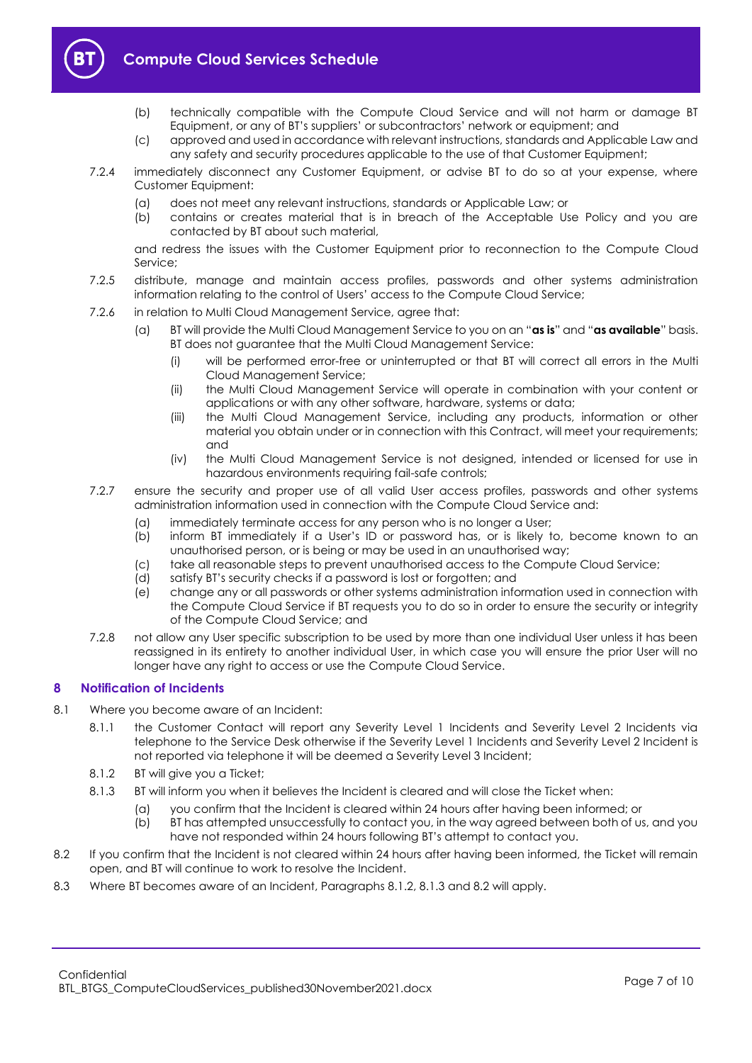

- (b) technically compatible with the Compute Cloud Service and will not harm or damage BT Equipment, or any of BT's suppliers' or subcontractors' network or equipment; and
- (c) approved and used in accordance with relevant instructions, standards and Applicable Law and any safety and security procedures applicable to the use of that Customer Equipment;
- 7.2.4 immediately disconnect any Customer Equipment, or advise BT to do so at your expense, where Customer Equipment:
	- (a) does not meet any relevant instructions, standards or Applicable Law; or
	- (b) contains or creates material that is in breach of the Acceptable Use Policy and you are contacted by BT about such material,

and redress the issues with the Customer Equipment prior to reconnection to the Compute Cloud Service;

- 7.2.5 distribute, manage and maintain access profiles, passwords and other systems administration information relating to the control of Users' access to the Compute Cloud Service;
- 7.2.6 in relation to Multi Cloud Management Service, agree that:
	- (a) BT will provide the Multi Cloud Management Service to you on an "**as is**" and "**as available**" basis. BT does not guarantee that the Multi Cloud Management Service:
		- (i) will be performed error-free or uninterrupted or that BT will correct all errors in the Multi Cloud Management Service;
		- (ii) the Multi Cloud Management Service will operate in combination with your content or applications or with any other software, hardware, systems or data;
		- (iii) the Multi Cloud Management Service, including any products, information or other material you obtain under or in connection with this Contract, will meet your requirements; and
		- (iv) the Multi Cloud Management Service is not designed, intended or licensed for use in hazardous environments requiring fail-safe controls;
- 7.2.7 ensure the security and proper use of all valid User access profiles, passwords and other systems administration information used in connection with the Compute Cloud Service and:
	- (a) immediately terminate access for any person who is no longer a User;
	- (b) inform BT immediately if a User's ID or password has, or is likely to, become known to an unauthorised person, or is being or may be used in an unauthorised way;
	- (c) take all reasonable steps to prevent unauthorised access to the Compute Cloud Service;
	- (d) satisfy BT's security checks if a password is lost or forgotten; and
	- (e) change any or all passwords or other systems administration information used in connection with the Compute Cloud Service if BT requests you to do so in order to ensure the security or integrity of the Compute Cloud Service; and
- 7.2.8 not allow any User specific subscription to be used by more than one individual User unless it has been reassigned in its entirety to another individual User, in which case you will ensure the prior User will no longer have any right to access or use the Compute Cloud Service.

#### <span id="page-6-0"></span>**8 Notification of Incidents**

- <span id="page-6-1"></span>8.1 Where you become aware of an Incident:
	- 8.1.1 the Customer Contact will report any Severity Level 1 Incidents and Severity Level 2 Incidents via telephone to the Service Desk otherwise if the Severity Level 1 Incidents and Severity Level 2 Incident is not reported via telephone it will be deemed a Severity Level 3 Incident;
	- 8.1.2 BT will give you a Ticket;
	- 8.1.3 BT will inform you when it believes the Incident is cleared and will close the Ticket when:
		- (a) you confirm that the Incident is cleared within 24 hours after having been informed; or
		- (b) BT has attempted unsuccessfully to contact you, in the way agreed between both of us, and you have not responded within 24 hours following BT's attempt to contact you.
- <span id="page-6-3"></span><span id="page-6-2"></span>8.2 If you confirm that the Incident is not cleared within 24 hours after having been informed, the Ticket will remain open, and BT will continue to work to resolve the Incident.
- 8.3 Where BT becomes aware of an Incident, Paragraphs [8.1.2,](#page-6-1) [8.1.3](#page-6-2) and [8.2](#page-6-3) will apply.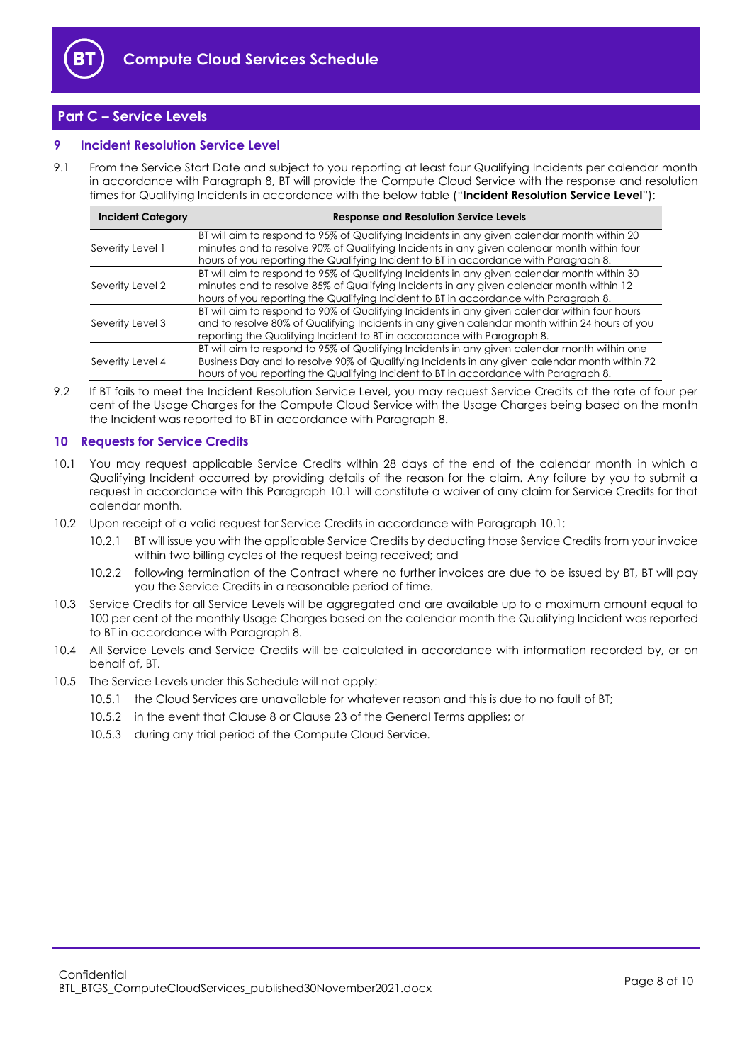

## <span id="page-7-0"></span>**Part C – Service Levels**

#### <span id="page-7-1"></span>**9 Incident Resolution Service Level**

9.1 From the Service Start Date and subject to you reporting at least four Qualifying Incidents per calendar month in accordance with Paragraph [8,](#page-6-0) BT will provide the Compute Cloud Service with the response and resolution times for Qualifying Incidents in accordance with the below table ("**Incident Resolution Service Level**"):

| <b>Incident Category</b> | <b>Response and Resolution Service Levels</b>                                                                                                                                                                                                                                         |
|--------------------------|---------------------------------------------------------------------------------------------------------------------------------------------------------------------------------------------------------------------------------------------------------------------------------------|
| Severity Level 1         | BT will aim to respond to 95% of Qualifying Incidents in any given calendar month within 20<br>minutes and to resolve 90% of Qualifying Incidents in any given calendar month within four<br>hours of you reporting the Qualifying Incident to BT in accordance with Paragraph 8.     |
| Severity Level 2         | BT will aim to respond to 95% of Qualifying Incidents in any given calendar month within 30<br>minutes and to resolve 85% of Qualifying Incidents in any given calendar month within 12<br>hours of you reporting the Qualifying Incident to BT in accordance with Paragraph 8.       |
| Severity Level 3         | BT will aim to respond to 90% of Qualifying Incidents in any given calendar within four hours<br>and to resolve 80% of Qualifying Incidents in any given calendar month within 24 hours of you<br>reporting the Qualifying Incident to BT in accordance with Paragraph 8.             |
| Severity Level 4         | BT will aim to respond to 95% of Qualifying Incidents in any given calendar month within one<br>Business Day and to resolve 90% of Qualifying Incidents in any given calendar month within 72<br>hours of you reporting the Qualifying Incident to BT in accordance with Paragraph 8. |

9.2 If BT fails to meet the Incident Resolution Service Level, you may request Service Credits at the rate of four per cent of the Usage Charges for the Compute Cloud Service with the Usage Charges being based on the month the Incident was reported to BT in accordance with Paragraph [8.](#page-6-0)

#### <span id="page-7-2"></span>**10 Requests for Service Credits**

- <span id="page-7-3"></span>10.1 You may request applicable Service Credits within 28 days of the end of the calendar month in which a Qualifying Incident occurred by providing details of the reason for the claim. Any failure by you to submit a request in accordance with this Paragraph [10.1](#page-7-3) will constitute a waiver of any claim for Service Credits for that calendar month.
- 10.2 Upon receipt of a valid request for Service Credits in accordance with Paragraph [10.1:](#page-7-3)
	- 10.2.1 BT will issue you with the applicable Service Credits by deducting those Service Credits from your invoice within two billing cycles of the request being received; and
	- 10.2.2 following termination of the Contract where no further invoices are due to be issued by BT, BT will pay you the Service Credits in a reasonable period of time.
- 10.3 Service Credits for all Service Levels will be aggregated and are available up to a maximum amount equal to 100 per cent of the monthly Usage Charges based on the calendar month the Qualifying Incident was reported to BT in accordance with Paragrap[h 8.](#page-6-0)
- 10.4 All Service Levels and Service Credits will be calculated in accordance with information recorded by, or on behalf of, BT.
- 10.5 The Service Levels under this Schedule will not apply:
	- 10.5.1 the Cloud Services are unavailable for whatever reason and this is due to no fault of BT;
	- 10.5.2 in the event that Clause 8 or Clause 23 of the General Terms applies; or
	- 10.5.3 during any trial period of the Compute Cloud Service.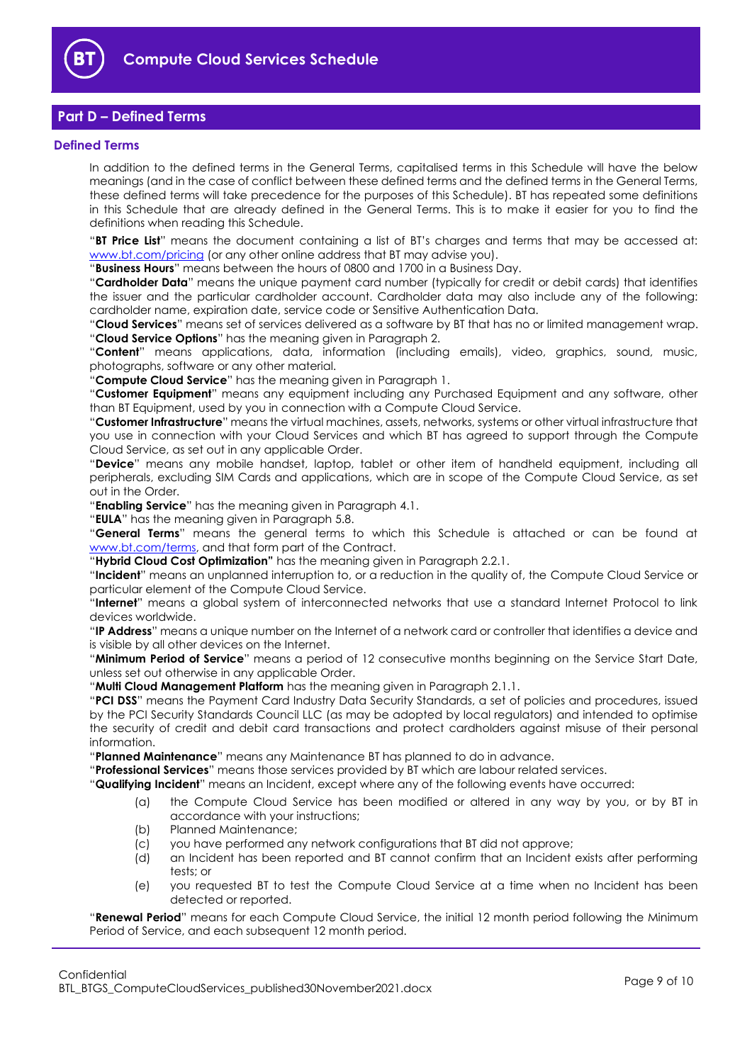

## <span id="page-8-0"></span>**Part D – Defined Terms**

#### <span id="page-8-1"></span>**Defined Terms**

In addition to the defined terms in the General Terms, capitalised terms in this Schedule will have the below meanings (and in the case of conflict between these defined terms and the defined terms in the General Terms, these defined terms will take precedence for the purposes of this Schedule). BT has repeated some definitions in this Schedule that are already defined in the General Terms. This is to make it easier for you to find the definitions when reading this Schedule.

"**BT Price List**" means the document containing a list of BT's charges and terms that may be accessed at: [www.bt.com/pricing](http://www.bt.com/pricing) (or any other online address that BT may advise you).

"**Business Hours**" means between the hours of 0800 and 1700 in a Business Day.

"**Cardholder Data**" means the unique payment card number (typically for credit or debit cards) that identifies the issuer and the particular cardholder account. Cardholder data may also include any of the following: cardholder name, expiration date, service code or Sensitive Authentication Data.

"**Cloud Services**" means set of services delivered as a software by BT that has no or limited management wrap. "**Cloud Service Options**" has the meaning given in Paragraph [2.](#page-1-4)

"**Content**" means applications, data, information (including emails), video, graphics, sound, music, photographs, software or any other material.

"**Compute Cloud Service**" has the meaning given in Paragrap[h 1.](#page-1-3)

"**Customer Equipment**" means any equipment including any Purchased Equipment and any software, other than BT Equipment, used by you in connection with a Compute Cloud Service.

"**Customer Infrastructure**" means the virtual machines, assets, networks, systems or other virtual infrastructure that you use in connection with your Cloud Services and which BT has agreed to support through the Compute Cloud Service, as set out in any applicable Order.

"**Device**" means any mobile handset, laptop, tablet or other item of handheld equipment, including all peripherals, excluding SIM Cards and applications, which are in scope of the Compute Cloud Service, as set out in the Order.

"**Enabling Service**" has the meaning given in Paragrap[h 4.1.](#page-2-6)

"**EULA**" has the meaning given in Paragraph [5.8.](#page-3-0)

"**General Terms**" means the general terms to which this Schedule is attached or can be found at [www.bt.com/terms,](http://www.bt.com/terms) and that form part of the Contract.

"**Hybrid Cloud Cost Optimization"** has the meaning given in Paragraph [2.2.1.](#page-1-8)

"**Incident**" means an unplanned interruption to, or a reduction in the quality of, the Compute Cloud Service or particular element of the Compute Cloud Service.

"**Internet**" means a global system of interconnected networks that use a standard Internet Protocol to link devices worldwide.

"**IP Address**" means a unique number on the Internet of a network card or controller that identifies a device and is visible by all other devices on the Internet.

"**Minimum Period of Service**" means a period of 12 consecutive months beginning on the Service Start Date, unless set out otherwise in any applicable Order.

"**Multi Cloud Management Platform** has the meaning given in Paragraph [2.1.1.](#page-1-9)

"**PCI DSS**" means the Payment Card Industry Data Security Standards, a set of policies and procedures, issued by the PCI Security Standards Council LLC (as may be adopted by local regulators) and intended to optimise the security of credit and debit card transactions and protect cardholders against misuse of their personal information.

"**Planned Maintenance**" means any Maintenance BT has planned to do in advance.

"**Professional Services**" means those services provided by BT which are labour related services.

"**Qualifying Incident**" means an Incident, except where any of the following events have occurred:

- (a) the Compute Cloud Service has been modified or altered in any way by you, or by BT in accordance with your instructions;
- (b) Planned Maintenance;
- (c) you have performed any network configurations that BT did not approve;
- (d) an Incident has been reported and BT cannot confirm that an Incident exists after performing tests; or
- (e) you requested BT to test the Compute Cloud Service at a time when no Incident has been detected or reported.

"**Renewal Period**" means for each Compute Cloud Service, the initial 12 month period following the Minimum Period of Service, and each subsequent 12 month period.